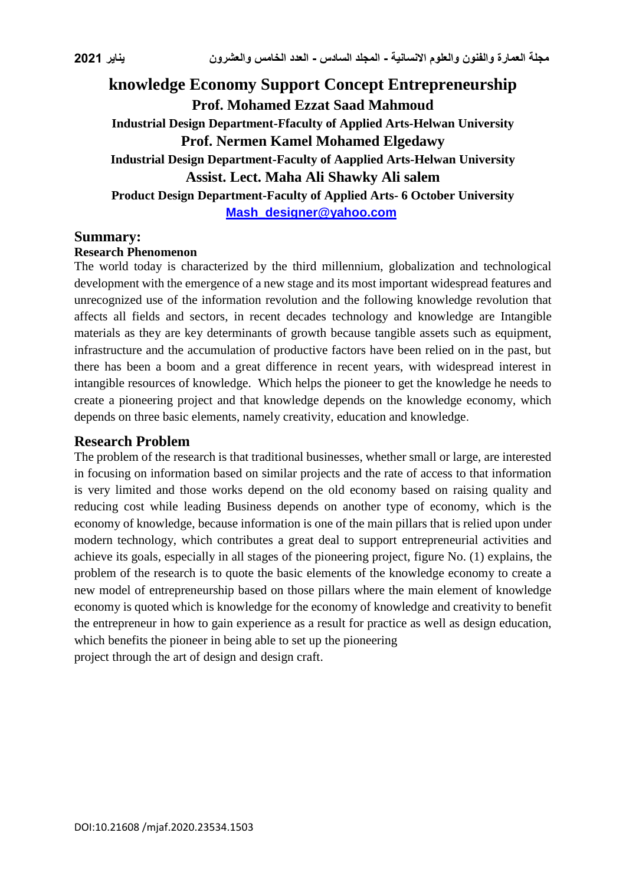# **knowledge Economy Support Concept Entrepreneurship Prof. Mohamed Ezzat Saad Mahmoud Industrial Design Department-Ffaculty of Applied Arts-Helwan University Prof. Nermen Kamel Mohamed Elgedawy Industrial Design Department-Faculty of Aapplied Arts-Helwan University Assist. Lect. Maha Ali Shawky Ali salem Product Design Department-Faculty of Applied Arts- 6 October University [Mash\\_designer@yahoo.com](mailto:Mash_designer@yahoo.com)**

#### **Summary:**

#### **Research Phenomenon**

The world today is characterized by the third millennium, globalization and technological development with the emergence of a new stage and its most important widespread features and unrecognized use of the information revolution and the following knowledge revolution that affects all fields and sectors, in recent decades technology and knowledge are Intangible materials as they are key determinants of growth because tangible assets such as equipment, infrastructure and the accumulation of productive factors have been relied on in the past, but there has been a boom and a great difference in recent years, with widespread interest in intangible resources of knowledge. Which helps the pioneer to get the knowledge he needs to create a pioneering project and that knowledge depends on the knowledge economy, which depends on three basic elements, namely creativity, education and knowledge.

### **Research Problem**

The problem of the research is that traditional businesses, whether small or large, are interested in focusing on information based on similar projects and the rate of access to that information is very limited and those works depend on the old economy based on raising quality and reducing cost while leading Business depends on another type of economy, which is the economy of knowledge, because information is one of the main pillars that is relied upon under modern technology, which contributes a great deal to support entrepreneurial activities and achieve its goals, especially in all stages of the pioneering project, figure No. (1) explains, the problem of the research is to quote the basic elements of the knowledge economy to create a new model of entrepreneurship based on those pillars where the main element of knowledge economy is quoted which is knowledge for the economy of knowledge and creativity to benefit the entrepreneur in how to gain experience as a result for practice as well as design education, which benefits the pioneer in being able to set up the pioneering project through the art of design and design craft.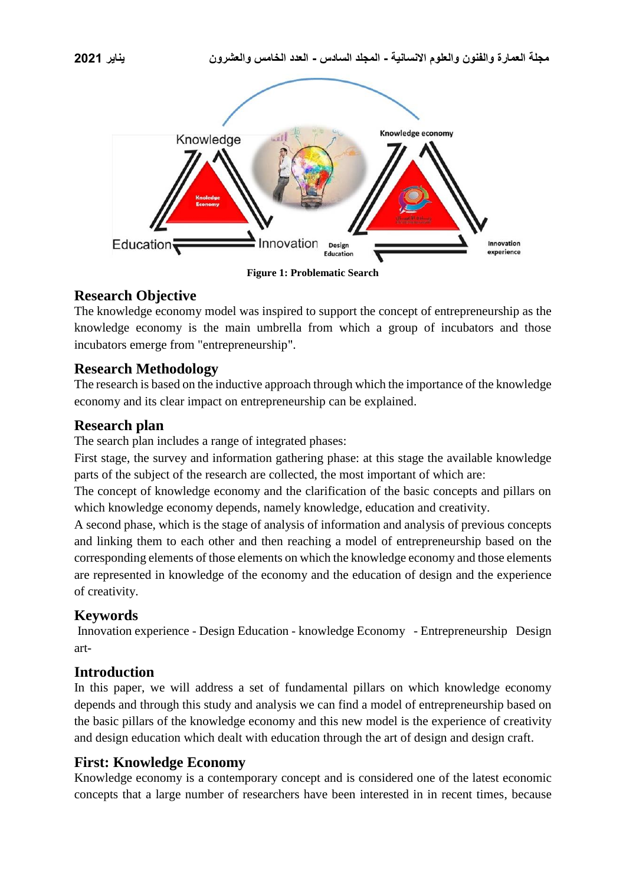



## **Research Objective**

The knowledge economy model was inspired to support the concept of entrepreneurship as the knowledge economy is the main umbrella from which a group of incubators and those incubators emerge from "entrepreneurship".

## **Research Methodology**

The research is based on the inductive approach through which the importance of the knowledge economy and its clear impact on entrepreneurship can be explained.

## **Research plan**

The search plan includes a range of integrated phases:

First stage, the survey and information gathering phase: at this stage the available knowledge parts of the subject of the research are collected, the most important of which are:

The concept of knowledge economy and the clarification of the basic concepts and pillars on which knowledge economy depends, namely knowledge, education and creativity.

A second phase, which is the stage of analysis of information and analysis of previous concepts and linking them to each other and then reaching a model of entrepreneurship based on the corresponding elements of those elements on which the knowledge economy and those elements are represented in knowledge of the economy and the education of design and the experience of creativity.

## **Keywords**

Innovation experience - Design Education - knowledge Economy - Entrepreneurship Design art-

## **Introduction**

In this paper, we will address a set of fundamental pillars on which knowledge economy depends and through this study and analysis we can find a model of entrepreneurship based on the basic pillars of the knowledge economy and this new model is the experience of creativity and design education which dealt with education through the art of design and design craft.

## **First: Knowledge Economy**

Knowledge economy is a contemporary concept and is considered one of the latest economic concepts that a large number of researchers have been interested in in recent times, because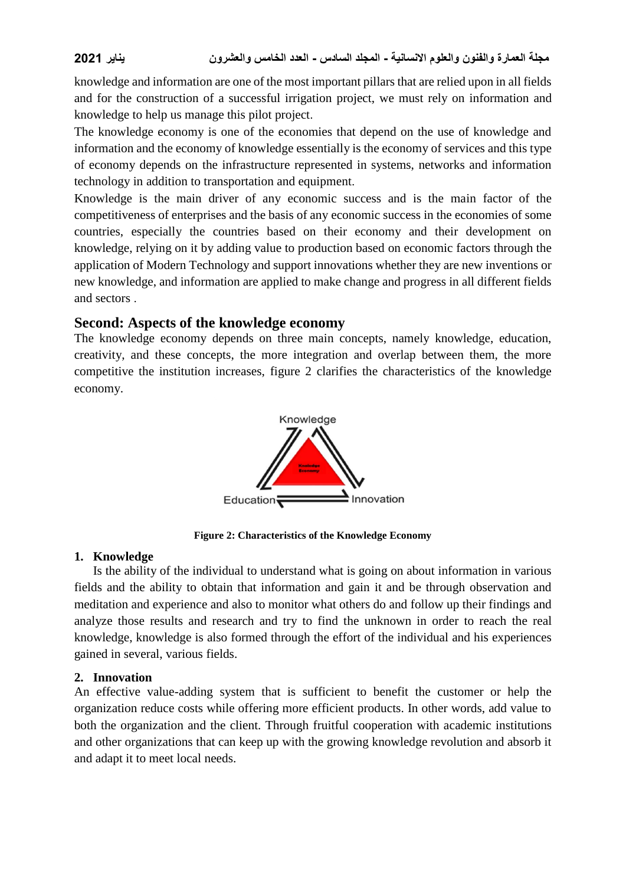knowledge and information are one of the most important pillars that are relied upon in all fields and for the construction of a successful irrigation project, we must rely on information and knowledge to help us manage this pilot project.

The knowledge economy is one of the economies that depend on the use of knowledge and information and the economy of knowledge essentially is the economy of services and this type of economy depends on the infrastructure represented in systems, networks and information technology in addition to transportation and equipment.

Knowledge is the main driver of any economic success and is the main factor of the competitiveness of enterprises and the basis of any economic success in the economies of some countries, especially the countries based on their economy and their development on knowledge, relying on it by adding value to production based on economic factors through the application of Modern Technology and support innovations whether they are new inventions or new knowledge, and information are applied to make change and progress in all different fields and sectors .

## **Second: Aspects of the knowledge economy**

The knowledge economy depends on three main concepts, namely knowledge, education, creativity, and these concepts, the more integration and overlap between them, the more competitive the institution increases, figure 2 clarifies the characteristics of the knowledge economy.



**Figure 2: Characteristics of the Knowledge Economy**

### **1. Knowledge**

Is the ability of the individual to understand what is going on about information in various fields and the ability to obtain that information and gain it and be through observation and meditation and experience and also to monitor what others do and follow up their findings and analyze those results and research and try to find the unknown in order to reach the real knowledge, knowledge is also formed through the effort of the individual and his experiences gained in several, various fields.

### **2. Innovation**

An effective value-adding system that is sufficient to benefit the customer or help the organization reduce costs while offering more efficient products. In other words, add value to both the organization and the client. Through fruitful cooperation with academic institutions and other organizations that can keep up with the growing knowledge revolution and absorb it and adapt it to meet local needs.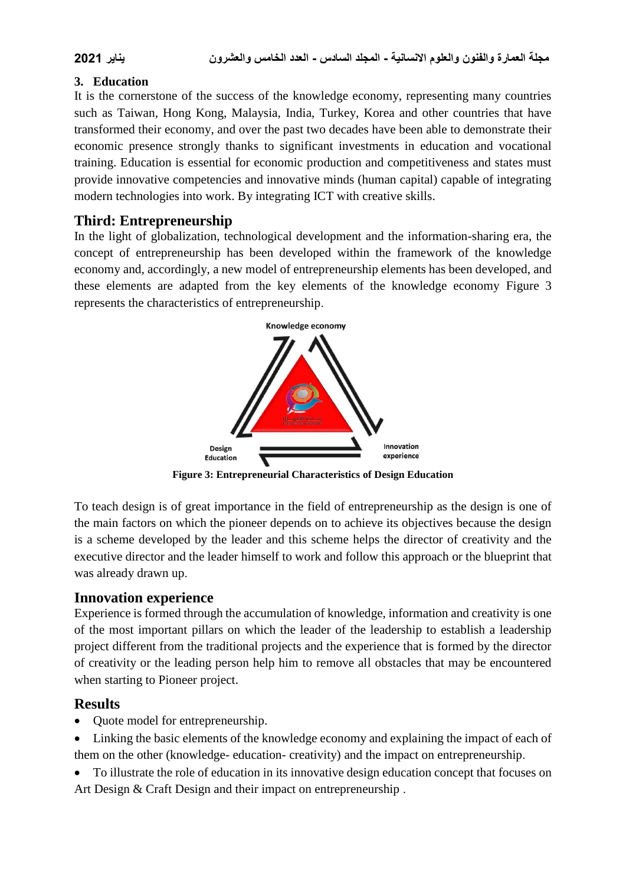### **3. Education**

It is the cornerstone of the success of the knowledge economy, representing many countries such as Taiwan, Hong Kong, Malaysia, India, Turkey, Korea and other countries that have transformed their economy, and over the past two decades have been able to demonstrate their economic presence strongly thanks to significant investments in education and vocational training. Education is essential for economic production and competitiveness and states must provide innovative competencies and innovative minds (human capital) capable of integrating modern technologies into work. By integrating ICT with creative skills.

## **Third: Entrepreneurship**

In the light of globalization, technological development and the information-sharing era, the concept of entrepreneurship has been developed within the framework of the knowledge economy and, accordingly, a new model of entrepreneurship elements has been developed, and these elements are adapted from the key elements of the knowledge economy Figure 3 represents the characteristics of entrepreneurship.



**Figure 3: Entrepreneurial Characteristics of Design Education**

To teach design is of great importance in the field of entrepreneurship as the design is one of the main factors on which the pioneer depends on to achieve its objectives because the design is a scheme developed by the leader and this scheme helps the director of creativity and the executive director and the leader himself to work and follow this approach or the blueprint that was already drawn up.

## **Innovation experience**

Experience is formed through the accumulation of knowledge, information and creativity is one of the most important pillars on which the leader of the leadership to establish a leadership project different from the traditional projects and the experience that is formed by the director of creativity or the leading person help him to remove all obstacles that may be encountered when starting to Pioneer project.

## **Results**

- Quote model for entrepreneurship.
- Linking the basic elements of the knowledge economy and explaining the impact of each of them on the other (knowledge- education- creativity) and the impact on entrepreneurship.
- To illustrate the role of education in its innovative design education concept that focuses on Art Design & Craft Design and their impact on entrepreneurship .